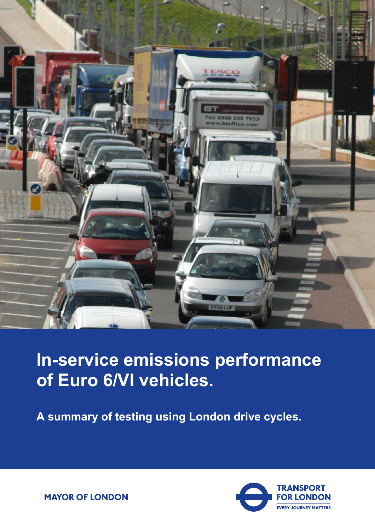

# **In-service emissions performance of Euro 6/VI vehicles.**

**A summary of testing using London drive cycles.** 



**MAYOR OF LONDON**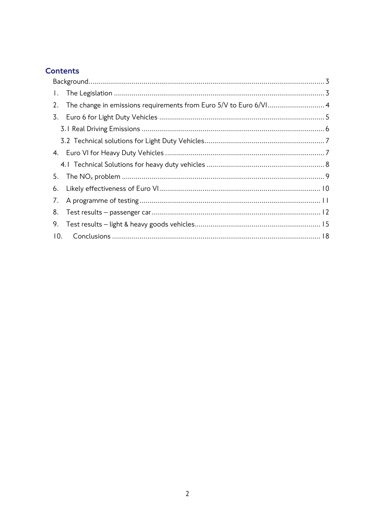# **Contents**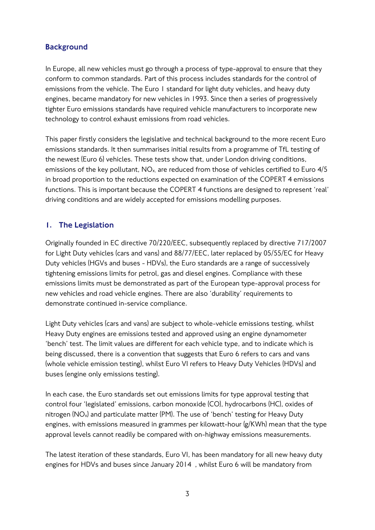# <span id="page-2-0"></span>**Background**

In Europe, all new vehicles must go through a process of type-approval to ensure that they conform to common standards. Part of this process includes standards for the control of emissions from the vehicle. The Euro 1 standard for light duty vehicles, and heavy duty engines, became mandatory for new vehicles in 1993. Since then a series of progressively tighter Euro emissions standards have required vehicle manufacturers to incorporate new technology to control exhaust emissions from road vehicles.

This paper firstly considers the legislative and technical background to the more recent Euro emissions standards. It then summarises initial results from a programme of TfL testing of the newest (Euro 6) vehicles. These tests show that, under London driving conditions, emissions of the key pollutant,  $NO<sub>x</sub>$  are reduced from those of vehicles certified to Euro  $4/5$ in broad proportion to the reductions expected on examination of the COPERT 4 emissions functions. This is important because the COPERT 4 functions are designed to represent 'real' driving conditions and are widely accepted for emissions modelling purposes.

# <span id="page-2-1"></span>1. The Legislation

Originally founded in EC directive 70/220/EEC, subsequently replaced by directive 717/2007 for Light Duty vehicles (cars and vans) and 88/77/EEC, later replaced by 05/55/EC for Heavy Duty vehicles (HGVs and buses - HDVs), the Euro standards are a range of successively tightening emissions limits for petrol, gas and diesel engines. Compliance with these emissions limits must be demonstrated as part of the European type-approval process for new vehicles and road vehicle engines. There are also 'durability' requirements to demonstrate continued in-service compliance.

Light Duty vehicles (cars and vans) are subject to whole-vehicle emissions testing, whilst Heavy Duty engines are emissions tested and approved using an engine dynamometer 'bench' test. The limit values are different for each vehicle type, and to indicate which is being discussed, there is a convention that suggests that Euro 6 refers to cars and vans (whole vehicle emission testing), whilst Euro VI refers to Heavy Duty Vehicles (HDVs) and buses (engine only emissions testing).

In each case, the Euro standards set out emissions limits for type approval testing that control four 'legislated' emissions, carbon monoxide (CO), hydrocarbons (HC), oxides of nitrogen (NOx) and particulate matter (PM). The use of 'bench' testing for Heavy Duty engines, with emissions measured in grammes per kilowatt-hour (g/KWh) mean that the type approval levels cannot readily be compared with on-highway emissions measurements.

The latest iteration of these standards, Euro VI, has been mandatory for all new heavy duty engines for HDVs and buses since January 2014 , whilst Euro 6 will be mandatory from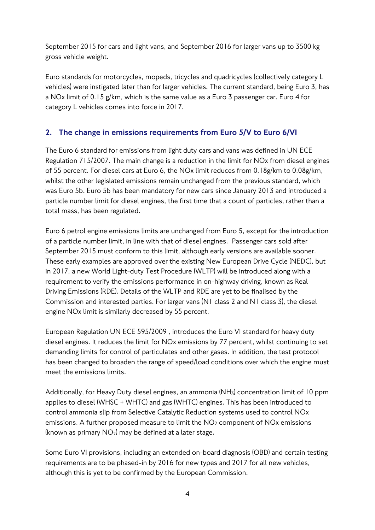September 2015 for cars and light vans, and September 2016 for larger vans up to 3500 kg gross vehicle weight.

Euro standards for motorcycles, mopeds, tricycles and quadricycles (collectively category L vehicles) were instigated later than for larger vehicles. The current standard, being Euro 3, has a NOx limit of 0.15 g/km, which is the same value as a Euro 3 passenger car. Euro 4 for category L vehicles comes into force in 2017.

# <span id="page-3-0"></span>2. The change in emissions requirements from Euro 5/V to Euro 6/VI

The Euro 6 standard for emissions from light duty cars and vans was defined in UN ECE Regulation 715/2007. The main change is a reduction in the limit for NOx from diesel engines of 55 percent. For diesel cars at Euro 6, the NOx limit reduces from 0.18g/km to 0.08g/km, whilst the other legislated emissions remain unchanged from the previous standard, which was Euro 5b. Euro 5b has been mandatory for new cars since January 2013 and introduced a particle number limit for diesel engines, the first time that a count of particles, rather than a total mass, has been regulated.

Euro 6 petrol engine emissions limits are unchanged from Euro 5, except for the introduction of a particle number limit, in line with that of diesel engines. Passenger cars sold after September 2015 must conform to this limit, although early versions are available sooner. These early examples are approved over the existing New European Drive Cycle (NEDC), but in 2017, a new World Light-duty Test Procedure (WLTP) will be introduced along with a requirement to verify the emissions performance in on-highway driving, known as Real Driving Emissions (RDE). Details of the WLTP and RDE are yet to be finalised by the Commission and interested parties. For larger vans (N1 class 2 and N1 class 3), the diesel engine NOx limit is similarly decreased by 55 percent.

European Regulation UN ECE 595/2009 , introduces the Euro VI standard for heavy duty diesel engines. It reduces the limit for NOx emissions by 77 percent, whilst continuing to set demanding limits for control of particulates and other gases. In addition, the test protocol has been changed to broaden the range of speed/load conditions over which the engine must meet the emissions limits.

Additionally, for Heavy Duty diesel engines, an ammonia (NH3) concentration limit of 10 ppm applies to diesel (WHSC + WHTC) and gas (WHTC) engines. This has been introduced to control ammonia slip from Selective Catalytic Reduction systems used to control NOx emissions. A further proposed measure to limit the  $NO<sub>2</sub>$  component of  $NOx$  emissions (known as primary  $NO<sub>2</sub>$ ) may be defined at a later stage.

Some Euro VI provisions, including an extended on-board diagnosis (OBD) and certain testing requirements are to be phased-in by 2016 for new types and 2017 for all new vehicles, although this is yet to be confirmed by the European Commission.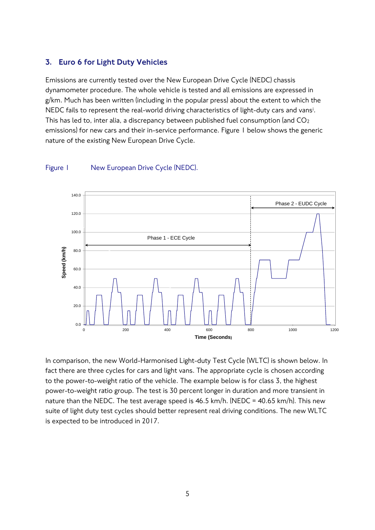#### <span id="page-4-0"></span>3. Euro 6 for Light Duty Vehicles

Emissions are currently tested over the New European Drive Cycle (NEDC) chassis dynamometer procedure. The whole vehicle is tested and all emissions are expressed in g/km. Much has been written (including in the popular press) about the extent to which the NEDC fails to represent the real-world driving characteristics of light-duty cars and vans<sup>i</sup>. This has led to, inter alia, a discrepancy between published fuel consumption (and CO<sub>2</sub> emissions) for new cars and their in-service performance. Figure 1 below shows the generic nature of the existing New European Drive Cycle.



#### Figure 1 New European Drive Cycle (NEDC).

In comparison, the new World-Harmonised Light-duty Test Cycle (WLTC) is shown below. In fact there are three cycles for cars and light vans. The appropriate cycle is chosen according to the power-to-weight ratio of the vehicle. The example below is for class 3, the highest power-to-weight ratio group. The test is 30 percent longer in duration and more transient in nature than the NEDC. The test average speed is 46.5 km/h. (NEDC = 40.65 km/h). This new suite of light duty test cycles should better represent real driving conditions. The new WLTC is expected to be introduced in 2017.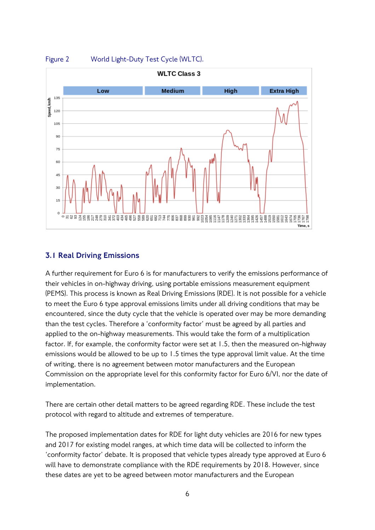

# Figure 2 World Light-Duty Test Cycle (WLTC).

#### <span id="page-5-0"></span>3.1 Real Driving Emissions

A further requirement for Euro 6 is for manufacturers to verify the emissions performance of their vehicles in on-highway driving, using portable emissions measurement equipment (PEMS). This process is known as Real Driving Emissions (RDE). It is not possible for a vehicle to meet the Euro 6 type approval emissions limits under all driving conditions that may be encountered, since the duty cycle that the vehicle is operated over may be more demanding than the test cycles. Therefore a 'conformity factor' must be agreed by all parties and applied to the on-highway measurements. This would take the form of a multiplication factor. If, for example, the conformity factor were set at 1.5, then the measured on-highway emissions would be allowed to be up to 1.5 times the type approval limit value. At the time of writing, there is no agreement between motor manufacturers and the European Commission on the appropriate level for this conformity factor for Euro 6/VI, nor the date of implementation.

There are certain other detail matters to be agreed regarding RDE. These include the test protocol with regard to altitude and extremes of temperature.

The proposed implementation dates for RDE for light duty vehicles are 2016 for new types and 2017 for existing model ranges, at which time data will be collected to inform the 'conformity factor' debate. It is proposed that vehicle types already type approved at Euro 6 will have to demonstrate compliance with the RDE requirements by 2018. However, since these dates are yet to be agreed between motor manufacturers and the European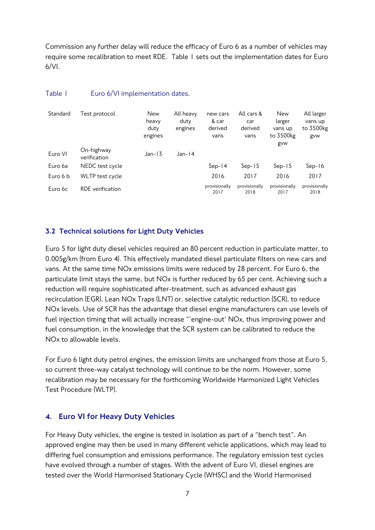Commission any further delay will reduce the efficacy of Euro 6 as a number of vehicles may require some recalibration to meet RDE. Table 1 sets out the implementation dates for Euro  $6/VI$ .

| Standard | Test protocol              | New<br>heavy<br>duty<br>engines | All heavy<br>duty<br>engines | new cars<br>& car<br>derived<br>vans | All cars &<br>car<br>derived<br>vans | <b>New</b><br>larger<br>vans up<br>to 3500kg<br>gvw | All larger<br>vans up<br>to 3500kg<br>gvw |
|----------|----------------------------|---------------------------------|------------------------------|--------------------------------------|--------------------------------------|-----------------------------------------------------|-------------------------------------------|
| Euro VI  | On-highway<br>verification | $Jan-13$                        | $Jan-14$                     |                                      |                                      |                                                     |                                           |
| Euro 6a  | NEDC test cycle            |                                 |                              | $Sep-14$                             | $Sep-15$                             | $Sep-15$                                            | $Sep-16$                                  |
| Euro 6 b | WLTP test cycle            |                                 |                              | 2016                                 | 2017                                 | 2016                                                | 2017                                      |
| Euro 6c  | RDE verification           |                                 |                              | provisionally<br>2017                | provisionally<br>2018                | provisionally<br>2017                               | provisionally<br>2018                     |

#### Table 1 Euro 6/VI implementation dates.

#### <span id="page-6-0"></span>3.2 Technical solutions for Light Duty Vehicles

Euro 5 for light duty diesel vehicles required an 80 percent reduction in particulate matter, to 0.005g/km (from Euro 4). This effectively mandated diesel particulate filters on new cars and vans. At the same time NOx emissions limits were reduced by 28 percent. For Euro 6, the particulate limit stays the same, but NOx is further reduced by 65 per cent. Achieving such a reduction will require sophisticated after-treatment, such as advanced exhaust gas recirculation (EGR), Lean NOx Traps (LNT) or, selective catalytic reduction (SCR), to reduce NOx levels. Use of SCR has the advantage that diesel engine manufacturers can use levels of fuel injection timing that will actually increase "'engine-out' NOx, thus improving power and fuel consumption, in the knowledge that the SCR system can be calibrated to reduce the NOx to allowable levels.

For Euro 6 light duty petrol engines, the emission limits are unchanged from those at Euro 5, so current three-way catalyst technology will continue to be the norm. However, some recalibration may be necessary for the forthcoming Worldwide Harmonized Light Vehicles Test Procedure (WLTP).

# <span id="page-6-1"></span>4. Euro VI for Heavy Duty Vehicles

For Heavy Duty vehicles, the engine is tested in isolation as part of a "bench test". An approved engine may then be used in many different vehicle applications, which may lead to differing fuel consumption and emissions performance. The regulatory emission test cycles have evolved through a number of stages. With the advent of Euro VI, diesel engines are tested over the World Harmonised Stationary Cycle (WHSC) and the World Harmonised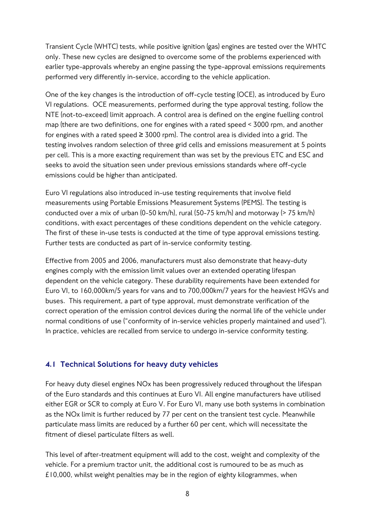Transient Cycle (WHTC) tests, while positive ignition (gas) engines are tested over the WHTC only. These new cycles are designed to overcome some of the problems experienced with earlier type-approvals whereby an engine passing the type-approval emissions requirements performed very differently in-service, according to the vehicle application.

One of the key changes is the introduction of off-cycle testing (OCE), as introduced by Euro VI regulations. OCE measurements, performed during the type approval testing, follow the NTE (not-to-exceed) limit approach. A control area is defined on the engine fuelling control map (there are two definitions, one for engines with a rated speed < 3000 rpm, and another for engines with a rated speed  $\geq 3000$  rpm). The control area is divided into a grid. The testing involves random selection of three grid cells and emissions measurement at 5 points per cell. This is a more exacting requirement than was set by the previous ETC and ESC and seeks to avoid the situation seen under previous emissions standards where off-cycle emissions could be higher than anticipated.

Euro VI regulations also introduced in-use testing requirements that involve field measurements using Portable Emissions Measurement Systems (PEMS). The testing is conducted over a mix of urban (0-50 km/h), rural (50-75 km/h) and motorway (> 75 km/h) conditions, with exact percentages of these conditions dependent on the vehicle category. The first of these in-use tests is conducted at the time of type approval emissions testing. Further tests are conducted as part of in-service conformity testing.

Effective from 2005 and 2006, manufacturers must also demonstrate that heavy-duty engines comply with the emission limit values over an extended operating lifespan dependent on the vehicle [category.](http://www.dieselnet.com/standards/eu/#vcat) These durability requirements have been extended for Euro VI, to 160,000km/5 years for vans and to 700,000km/7 years for the heaviest HGVs and buses. This requirement, a part of type approval, must demonstrate verification of the correct operation of the emission control devices during the normal life of the vehicle under normal conditions of use ("conformity of in-service vehicles properly maintained and used"). In practice, vehicles are recalled from service to undergo in-service conformity testing.

# <span id="page-7-0"></span>4.1 Technical Solutions for heavy duty vehicles

For heavy duty diesel engines NOx has been progressively reduced throughout the lifespan of the Euro standards and this continues at Euro VI. All engine manufacturers have utilised either EGR or SCR to comply at Euro V. For Euro VI, many use both systems in combination as the NOx limit is further reduced by 77 per cent on the transient test cycle. Meanwhile particulate mass limits are reduced by a further 60 per cent, which will necessitate the fitment of diesel particulate filters as well.

This level of after-treatment equipment will add to the cost, weight and complexity of the vehicle. For a premium tractor unit, the additional cost is rumoured to be as much as £10,000, whilst weight penalties may be in the region of eighty kilogrammes, when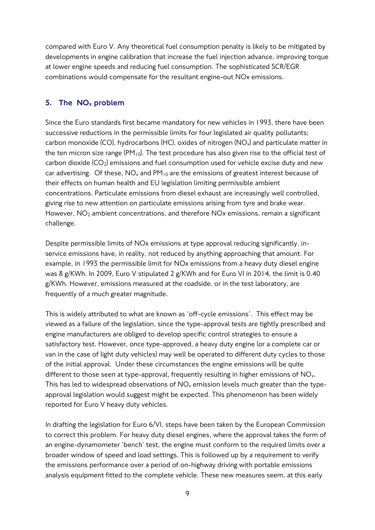compared with Euro V. Any theoretical fuel consumption penalty is likely to be mitigated by developments in engine calibration that increase the fuel injection advance, improving torque at lower engine speeds and reducing fuel consumption. The sophisticated SCR/EGR combinations would compensate for the resultant engine-out NOx emissions.

# <span id="page-8-0"></span>5. The NO<sup>x</sup> problem

Since the Euro standards first became mandatory for new vehicles in 1993, there have been successive reductions in the permissible limits for four legislated air quality pollutants; carbon monoxide (CO), hydrocarbons (HC), oxides of nitrogen  $(NO_x)$  and particulate matter in the ten micron size range  $(PM_{10})$ . The test procedure has also given rise to the official test of carbon dioxide  $(CO_2)$  emissions and fuel consumption used for vehicle excise duty and new car advertising. Of these,  $NO<sub>x</sub>$  and  $PM<sub>10</sub>$  are the emissions of greatest interest because of their effects on human health and EU legislation limiting permissible ambient concentrations. Particulate emissions from diesel exhaust are increasingly well controlled, giving rise to new attention on particulate emissions arising from tyre and brake wear. However, NO<sub>2</sub> ambient concentrations, and therefore NO<sub>x</sub> emissions, remain a significant challenge.

Despite permissible limits of NOx emissions at type approval reducing significantly, inservice emissions have, in reality, not reduced by anything approaching that amount. For example, in 1993 the permissible limit for NOx emissions from a heavy duty diesel engine was 8 g/KWh. In 2009, Euro V stipulated 2 g/KWh and for Euro VI in 2014, the limit is 0.40 g/KWh. However, emissions measured at the roadside, or in the test laboratory, are frequently of a much greater magnitude.

This is widely attributed to what are known as 'off-cycle emissions'. This effect may be viewed as a failure of the legislation, since the type-approval tests are tightly prescribed and engine manufacturers are obliged to develop specific control strategies to ensure a satisfactory test. However, once type-approved, a heavy duty engine (or a complete car or van in the case of light duty vehicles) may well be operated to different duty cycles to those of the initial approval. Under these circumstances the engine emissions will be quite different to those seen at type-approval, frequently resulting in higher emissions of NO<sub>x</sub>. This has led to widespread observations of  $NO<sub>x</sub>$  emission levels much greater than the typeapproval legislation would suggest might be expected. This phenomenon has been widely reported for Euro V heavy duty vehicles.

In drafting the legislation for Euro 6/VI, steps have been taken by the European Commission to correct this problem. For heavy duty diesel engines, where the approval takes the form of an engine-dynamometer 'bench' test, the engine must conform to the required limits over a broader window of speed and load settings. This is followed up by a requirement to verify the emissions performance over a period of on-highway driving with portable emissions analysis equipment fitted to the complete vehicle. These new measures seem, at this early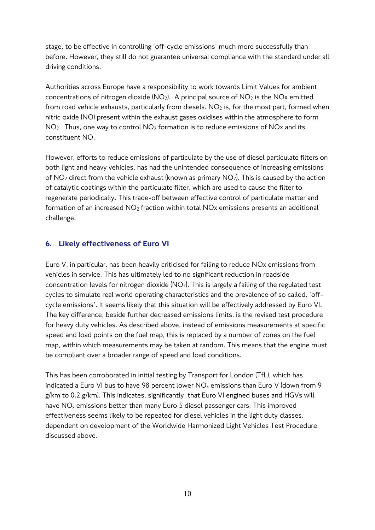stage, to be effective in controlling 'off-cycle emissions' much more successfully than before. However, they still do not guarantee universal compliance with the standard under all driving conditions.

Authorities across Europe have a responsibility to work towards Limit Values for ambient concentrations of nitrogen dioxide  $(NO<sub>2</sub>)$ . A principal source of  $NO<sub>2</sub>$  is the NOx emitted from road vehicle exhausts, particularly from diesels.  $NO<sub>2</sub>$  is, for the most part, formed when nitric oxide (NO) present within the exhaust gases oxidises within the atmosphere to form  $NO<sub>2</sub>$ . Thus, one way to control  $NO<sub>2</sub>$  formation is to reduce emissions of  $NO<sub>X</sub>$  and its constituent NO.

However, efforts to reduce emissions of particulate by the use of diesel particulate filters on both light and heavy vehicles, has had the unintended consequence of increasing emissions of  $NO<sub>2</sub>$  direct from the vehicle exhaust (known as primary  $NO<sub>2</sub>$ ). This is caused by the action of catalytic coatings within the particulate filter, which are used to cause the filter to regenerate periodically. This trade-off between effective control of particulate matter and formation of an increased  $NO<sub>2</sub>$  fraction within total  $NO<sub>X</sub>$  emissions presents an additional challenge.

# <span id="page-9-0"></span>6. Likely effectiveness of Euro VI

Euro V, in particular, has been heavily criticised for failing to reduce NOx emissions from vehicles in service. This has ultimately led to no significant reduction in roadside concentration levels for nitrogen dioxide  $(NO<sub>2</sub>)$ . This is largely a failing of the regulated test cycles to simulate real world operating characteristics and the prevalence of so called, 'offcycle emissions'. It seems likely that this situation will be effectively addressed by Euro VI. The key difference, beside further decreased emissions limits, is the revised test procedure for heavy duty vehicles. As described above, instead of emissions measurements at specific speed and load points on the fuel map, this is replaced by a number of zones on the fuel map, within which measurements may be taken at random. This means that the engine must be compliant over a broader range of speed and load conditions.

This has been corroborated in initial testing by Transport for London (TfL), which has indicated a Euro VI bus to have 98 percent lower  $NO<sub>x</sub>$  emissions than Euro V (down from 9 g/km to 0.2 g/km). This indicates, significantly, that Euro VI engined buses and HGVs will have  $NO<sub>x</sub>$  emissions better than many Euro 5 diesel passenger cars. This improved effectiveness seems likely to be repeated for diesel vehicles in the light duty classes, dependent on development of the Worldwide Harmonized Light Vehicles Test Procedure discussed above.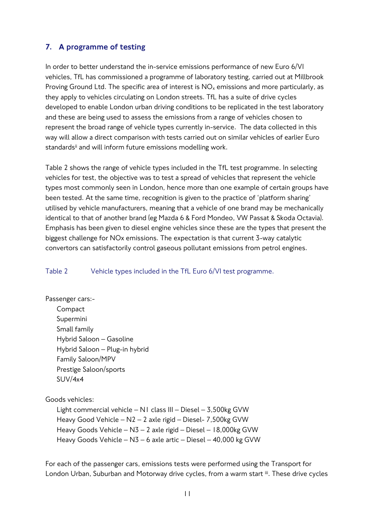# <span id="page-10-0"></span>7. A programme of testing

In order to better understand the in-service emissions performance of new Euro 6/VI vehicles, TfL has commissioned a programme of laboratory testing, carried out at Millbrook Proving Ground Ltd. The specific area of interest is  $NO<sub>x</sub>$  emissions and more particularly, as they apply to vehicles circulating on London streets. TfL has a suite of drive cycles developed to enable London urban driving conditions to be replicated in the test laboratory and these are being used to assess the emissions from a range of vehicles chosen to represent the broad range of vehicle types currently in-service. The data collected in this way will allow a direct comparison with tests carried out on similar vehicles of earlier Euro standards<sup>ii</sup> and will inform future emissions modelling work.

Table 2 shows the range of vehicle types included in the TfL test programme. In selecting vehicles for test, the objective was to test a spread of vehicles that represent the vehicle types most commonly seen in London, hence more than one example of certain groups have been tested. At the same time, recognition is given to the practice of 'platform sharing' utilised by vehicle manufacturers, meaning that a vehicle of one brand may be mechanically identical to that of another brand (eg Mazda 6 & Ford Mondeo, VW Passat & Skoda Octavia). Emphasis has been given to diesel engine vehicles since these are the types that present the biggest challenge for NOx emissions. The expectation is that current 3-way catalytic convertors can satisfactorily control gaseous pollutant emissions from petrol engines.

#### Table 2 Vehicle types included in the TfL Euro 6/VI test programme.

Passenger cars:- Compact Supermini Small family Hybrid Saloon – Gasoline Hybrid Saloon – Plug-in hybrid Family Saloon/MPV Prestige Saloon/sports SUV/4x4

Goods vehicles:

Light commercial vehicle – N1 class III – Diesel – 3,500kg GVW Heavy Good Vehicle – N2 – 2 axle rigid – Diesel- 7,500kg GVW Heavy Goods Vehicle – N3 – 2 axle rigid – Diesel – 18,000kg GVW Heavy Goods Vehicle – N3 – 6 axle artic – Diesel – 40,000 kg GVW

For each of the passenger cars, emissions tests were performed using the Transport for London Urban, Suburban and Motorway drive cycles, from a warm start iii. These drive cycles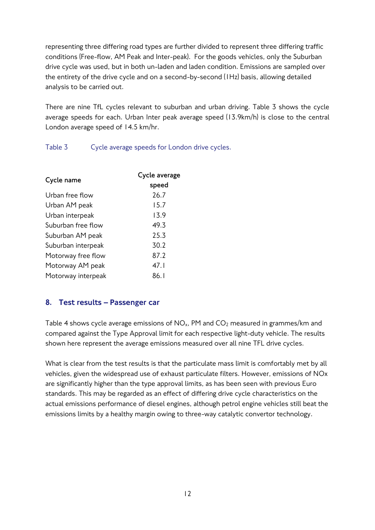representing three differing road types are further divided to represent three differing traffic conditions (Free-flow, AM Peak and Inter-peak). For the goods vehicles, only the Suburban drive cycle was used, but in both un-laden and laden condition. Emissions are sampled over the entirety of the drive cycle and on a second-by-second (1Hz) basis, allowing detailed analysis to be carried out.

There are nine TfL cycles relevant to suburban and urban driving. Table 3 shows the cycle average speeds for each. Urban Inter peak average speed (13.9km/h) is close to the central London average speed of 14.5 km/hr.

Table 3 Cycle average speeds for London drive cycles.

| Cycle name         | Cycle average |  |  |  |
|--------------------|---------------|--|--|--|
|                    | speed         |  |  |  |
| Urban free flow    | 26.7          |  |  |  |
| Urban AM peak      | 15.7          |  |  |  |
| Urban interpeak    | 13.9          |  |  |  |
| Suburban free flow | 49.3          |  |  |  |
| Suburban AM peak   | 25.3          |  |  |  |
| Suburban interpeak | 30.2          |  |  |  |
| Motorway free flow | 87.2          |  |  |  |
| Motorway AM peak   | 47.1          |  |  |  |
| Motorway interpeak | 86. l         |  |  |  |
|                    |               |  |  |  |

# <span id="page-11-0"></span>8. Test results – Passenger car

Table 4 shows cycle average emissions of  $NO<sub>x</sub>$ , PM and  $CO<sub>2</sub>$  measured in grammes/km and compared against the Type Approval limit for each respective light-duty vehicle. The results shown here represent the average emissions measured over all nine TFL drive cycles.

What is clear from the test results is that the particulate mass limit is comfortably met by all vehicles, given the widespread use of exhaust particulate filters. However, emissions of NOx are significantly higher than the type approval limits, as has been seen with previous Euro standards. This may be regarded as an effect of differing drive cycle characteristics on the actual emissions performance of diesel engines, although petrol engine vehicles still beat the emissions limits by a healthy margin owing to three-way catalytic convertor technology.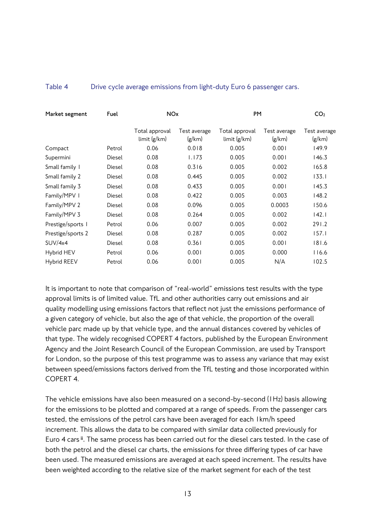#### Table 4 Drive cycle average emissions from light-duty Euro 6 passenger cars.

| Market segment    | Fuel   | <b>NO<sub>x</sub></b>          |                        | PM                             | CO <sub>2</sub>        |                        |
|-------------------|--------|--------------------------------|------------------------|--------------------------------|------------------------|------------------------|
|                   |        | Total approval<br>limit (g/km) | Test average<br>(g/km) | Total approval<br>limit (g/km) | Test average<br>(g/km) | Test average<br>(g/km) |
| Compact           | Petrol | 0.06                           | 0.018                  | 0.005                          | 0.001                  | 149.9                  |
| Supermini         | Diesel | 0.08                           | 1.173                  | 0.005                          | 0.001                  | 146.3                  |
| Small family 1    | Diesel | 0.08                           | 0.316                  | 0.005                          | 0.002                  | 165.8                  |
| Small family 2    | Diesel | 0.08                           | 0.445                  | 0.005                          | 0.002                  | 133.1                  |
| Small family 3    | Diesel | 0.08                           | 0.433                  | 0.005                          | 0.001                  | 145.3                  |
| Family/MPV I      | Diesel | 0.08                           | 0.422                  | 0.005                          | 0.003                  | 148.2                  |
| Family/MPV 2      | Diesel | 0.08                           | 0.096                  | 0.005                          | 0.0003                 | 150.6                  |
| Family/MPV 3      | Diesel | 0.08                           | 0.264                  | 0.005                          | 0.002                  | 142.1                  |
| Prestige/sports   | Petrol | 0.06                           | 0.007                  | 0.005                          | 0.002                  | 291.2                  |
| Prestige/sports 2 | Diesel | 0.08                           | 0.287                  | 0.005                          | 0.002                  | 157.1                  |
| SUV/4x4           | Diesel | 0.08                           | 0.361                  | 0.005                          | 0.001                  | 181.6                  |
| Hybrid HEV        | Petrol | 0.06                           | 0.001                  | 0.005                          | 0.000                  | 116.6                  |
| Hybrid REEV       | Petrol | 0.06                           | 0.001                  | 0.005                          | N/A                    | 102.5                  |

It is important to note that comparison of "real-world" emissions test results with the type approval limits is of limited value. TfL and other authorities carry out emissions and air quality modelling using emissions factors that reflect not just the emissions performance of a given category of vehicle, but also the age of that vehicle, the proportion of the overall vehicle parc made up by that vehicle type, and the annual distances covered by vehicles of that type. The widely recognised COPERT 4 factors, published by the European Environment Agency and the Joint Research Council of the European Commission, are used by Transport for London, so the purpose of this test programme was to assess any variance that may exist between speed/emissions factors derived from the TfL testing and those incorporated within COPERT 4.

The vehicle emissions have also been measured on a second-by-second (1Hz) basis allowing for the emissions to be plotted and compared at a range of speeds. From the passenger cars tested, the emissions of the petrol cars have been averaged for each 1km/h speed increment. This allows the data to be compared with similar data collected previously for Euro 4 cars **ii**. The same process has been carried out for the diesel cars tested. In the case of both the petrol and the diesel car charts, the emissions for three differing types of car have been used. The measured emissions are averaged at each speed increment. The results have been weighted according to the relative size of the market segment for each of the test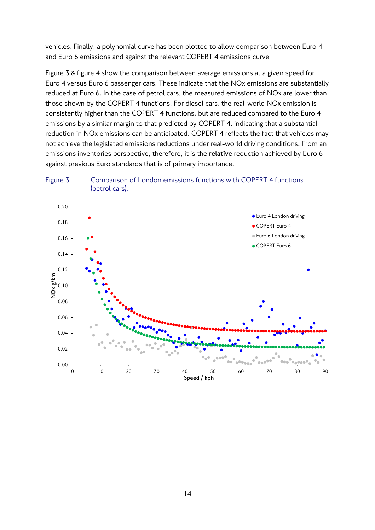vehicles. Finally, a polynomial curve has been plotted to allow comparison between Euro 4 and Euro 6 emissions and against the relevant COPERT 4 emissions curve

Figure 3 & figure 4 show the comparison between average emissions at a given speed for Euro 4 versus Euro 6 passenger cars. These indicate that the NOx emissions are substantially reduced at Euro 6. In the case of petrol cars, the measured emissions of NOx are lower than those shown by the COPERT 4 functions. For diesel cars, the real-world NOx emission is consistently higher than the COPERT 4 functions, but are reduced compared to the Euro 4 emissions by a similar margin to that predicted by COPERT 4, indicating that a substantial reduction in NOx emissions can be anticipated. COPERT 4 reflects the fact that vehicles may not achieve the legislated emissions reductions under real-world driving conditions. From an emissions inventories perspective, therefore, it is the **relative** reduction achieved by Euro 6 against previous Euro standards that is of primary importance.



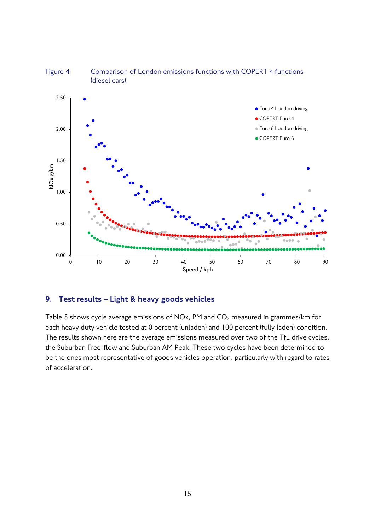

# Figure 4 Comparison of London emissions functions with COPERT 4 functions

#### <span id="page-14-0"></span>9. Test results – Light & heavy goods vehicles

Table 5 shows cycle average emissions of NOx, PM and CO<sub>2</sub> measured in grammes/km for each heavy duty vehicle tested at 0 percent (unladen) and 100 percent (fully laden) condition. The results shown here are the average emissions measured over two of the TfL drive cycles, the Suburban Free-flow and Suburban AM Peak. These two cycles have been determined to be the ones most representative of goods vehicles operation, particularly with regard to rates of acceleration.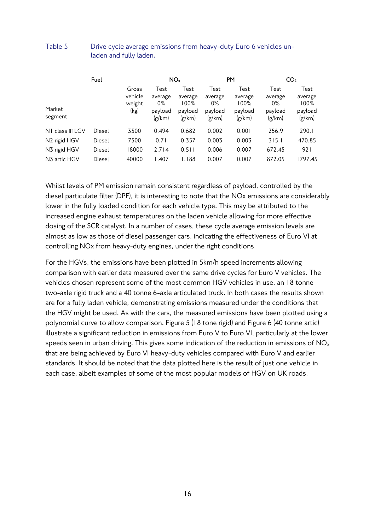|                                       | Fuel   |                                    | NO <sub>x</sub>                               |                                              | <b>PM</b>                                     |                                              | CO <sub>2</sub>                               |                                              |
|---------------------------------------|--------|------------------------------------|-----------------------------------------------|----------------------------------------------|-----------------------------------------------|----------------------------------------------|-----------------------------------------------|----------------------------------------------|
| Market<br>segment                     |        | Gross<br>vehicle<br>weight<br>(kg) | Test<br>average<br>$0\%$<br>payload<br>(g/km) | Test<br>average<br>100%<br>payload<br>(g/km) | Test<br>average<br>$0\%$<br>payload<br>(g/km) | Test<br>average<br>100%<br>payload<br>(g/km) | Test<br>average<br>$0\%$<br>payload<br>(g/km) | Test<br>average<br>100%<br>payload<br>(g/km) |
| NI class iii LGV                      | Diesel | 3500                               | 0.494                                         | 0.682                                        | 0.002                                         | 0.001                                        | 256.9                                         | 290.1                                        |
| N <sub>2</sub> rigid H <sub>G</sub> V | Diesel | 7500                               | 0.71                                          | 0.357                                        | 0.003                                         | 0.003                                        | 315.1                                         | 470.85                                       |
| N3 rigid HGV                          | Diesel | 18000                              | 2.714                                         | 0.511                                        | 0.006                                         | 0.007                                        | 672.45                                        | 921                                          |
| N3 artic HGV                          | Diesel | 40000                              | 1.407                                         | 1.188                                        | 0.007                                         | 0.007                                        | 872.05                                        | 1797.45                                      |

#### Table 5 Drive cycle average emissions from heavy-duty Euro 6 vehicles unladen and fully laden.

Whilst levels of PM emission remain consistent regardless of payload, controlled by the diesel particulate filter (DPF), it is interesting to note that the NOx emissions are considerably lower in the fully loaded condition for each vehicle type. This may be attributed to the increased engine exhaust temperatures on the laden vehicle allowing for more effective dosing of the SCR catalyst. In a number of cases, these cycle average emission levels are almost as low as those of diesel passenger cars, indicating the effectiveness of Euro VI at controlling NOx from heavy-duty engines, under the right conditions.

For the HGVs, the emissions have been plotted in 5km/h speed increments allowing comparison with earlier data measured over the same drive cycles for Euro V vehicles. The vehicles chosen represent some of the most common HGV vehicles in use, an 18 tonne two-axle rigid truck and a 40 tonne 6-axle articulated truck. In both cases the results shown are for a fully laden vehicle, demonstrating emissions measured under the conditions that the HGV might be used. As with the cars, the measured emissions have been plotted using a polynomial curve to allow comparison. Figure 5 (18 tone rigid) and Figure 6 (40 tonne artic) illustrate a significant reduction in emissions from Euro V to Euro VI, particularly at the lower speeds seen in urban driving. This gives some indication of the reduction in emissions of  $NO<sub>x</sub>$ that are being achieved by Euro VI heavy-duty vehicles compared with Euro V and earlier standards. It should be noted that the data plotted here is the result of just one vehicle in each case, albeit examples of some of the most popular models of HGV on UK roads.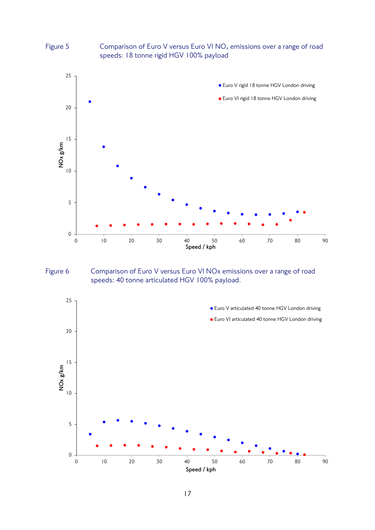